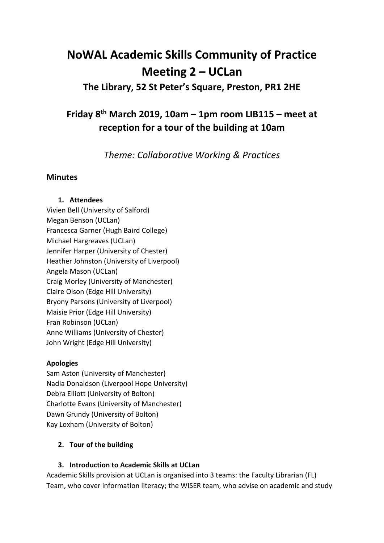# **NoWAL Academic Skills Community of Practice Meeting 2 – UCLan**

### **The Library, 52 St Peter's Square, Preston, PR1 2HE**

## **Friday 8th March 2019, 10am – 1pm room LIB115 – meet at reception for a tour of the building at 10am**

*Theme: Collaborative Working & Practices*

#### **Minutes**

#### **1. Attendees**

Vivien Bell (University of Salford) Megan Benson (UCLan) Francesca Garner (Hugh Baird College) Michael Hargreaves (UCLan) Jennifer Harper (University of Chester) Heather Johnston (University of Liverpool) Angela Mason (UCLan) Craig Morley (University of Manchester) Claire Olson (Edge Hill University) Bryony Parsons (University of Liverpool) Maisie Prior (Edge Hill University) Fran Robinson (UCLan) Anne Williams (University of Chester) John Wright (Edge Hill University)

#### **Apologies**

Sam Aston (University of Manchester) Nadia Donaldson (Liverpool Hope University) Debra Elliott (University of Bolton) Charlotte Evans (University of Manchester) Dawn Grundy (University of Bolton) Kay Loxham (University of Bolton)

#### **2. Tour of the building**

#### **3. Introduction to Academic Skills at UCLan**

Academic Skills provision at UCLan is organised into 3 teams: the Faculty Librarian (FL) Team, who cover information literacy; the WISER team, who advise on academic and study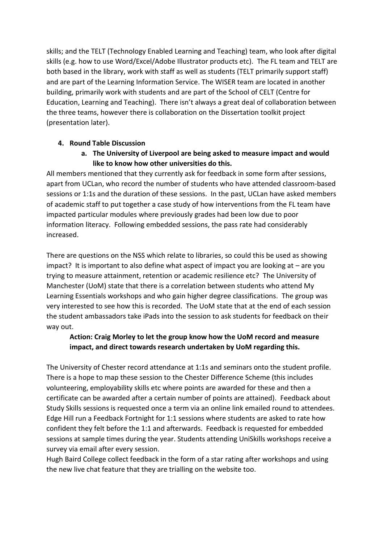skills; and the TELT (Technology Enabled Learning and Teaching) team, who look after digital skills (e.g. how to use Word/Excel/Adobe Illustrator products etc). The FL team and TELT are both based in the library, work with staff as well as students (TELT primarily support staff) and are part of the Learning Information Service. The WISER team are located in another building, primarily work with students and are part of the School of CELT (Centre for Education, Learning and Teaching). There isn't always a great deal of collaboration between the three teams, however there is collaboration on the Dissertation toolkit project (presentation later).

#### **4. Round Table Discussion**

**a. The University of Liverpool are being asked to measure impact and would like to know how other universities do this.**

All members mentioned that they currently ask for feedback in some form after sessions, apart from UCLan, who record the number of students who have attended classroom-based sessions or 1:1s and the duration of these sessions. In the past, UCLan have asked members of academic staff to put together a case study of how interventions from the FL team have impacted particular modules where previously grades had been low due to poor information literacy. Following embedded sessions, the pass rate had considerably increased.

There are questions on the NSS which relate to libraries, so could this be used as showing impact? It is important to also define what aspect of impact you are looking at  $-$  are you trying to measure attainment, retention or academic resilience etc? The University of Manchester (UoM) state that there is a correlation between students who attend My Learning Essentials workshops and who gain higher degree classifications. The group was very interested to see how this is recorded. The UoM state that at the end of each session the student ambassadors take iPads into the session to ask students for feedback on their way out.

#### **Action: Craig Morley to let the group know how the UoM record and measure impact, and direct towards research undertaken by UoM regarding this.**

The University of Chester record attendance at 1:1s and seminars onto the student profile. There is a hope to map these session to the Chester Difference Scheme (this includes volunteering, employability skills etc where points are awarded for these and then a certificate can be awarded after a certain number of points are attained). Feedback about Study Skills sessions is requested once a term via an online link emailed round to attendees. Edge Hill run a Feedback Fortnight for 1:1 sessions where students are asked to rate how confident they felt before the 1:1 and afterwards. Feedback is requested for embedded sessions at sample times during the year. Students attending UniSkills workshops receive a survey via email after every session.

Hugh Baird College collect feedback in the form of a star rating after workshops and using the new live chat feature that they are trialling on the website too.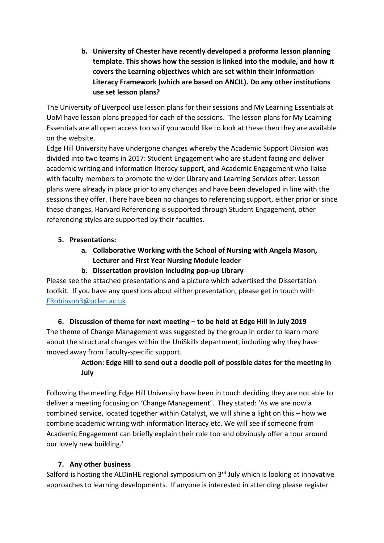**b. University of Chester have recently developed a proforma lesson planning template. This shows how the session is linked into the module, and how it covers the Learning objectives which are set within their Information Literacy Framework (which are based on ANCIL). Do any other institutions use set lesson plans?**

The University of Liverpool use lesson plans for their sessions and My Learning Essentials at UoM have lesson plans prepped for each of the sessions. The lesson plans for My Learning Essentials are all open access too so if you would like to look at these then they are available on the website.

Edge Hill University have undergone changes whereby the Academic Support Division was divided into two teams in 2017: Student Engagement who are student facing and deliver academic writing and information literacy support, and Academic Engagement who liaise with faculty members to promote the wider Library and Learning Services offer. Lesson plans were already in place prior to any changes and have been developed in line with the sessions they offer. There have been no changes to referencing support, either prior or since these changes. Harvard Referencing is supported through Student Engagement, other referencing styles are supported by their faculties.

#### **5. Presentations:**

- **a. Collaborative Working with the School of Nursing with Angela Mason, Lecturer and First Year Nursing Module leader**
- **b. Dissertation provision including pop-up Library**

Please see the attached presentations and a picture which advertised the Dissertation toolkit. If you have any questions about either presentation, please get in touch with [FRobinson3@uclan.ac.uk](mailto:FRobinson3@uclan.ac.uk)

**6. Discussion of theme for next meeting – to be held at Edge Hill in July 2019** The theme of Change Management was suggested by the group in order to learn more about the structural changes within the UniSkills department, including why they have moved away from Faculty-specific support.

#### **Action: Edge Hill to send out a doodle poll of possible dates for the meeting in July**

Following the meeting Edge Hill University have been in touch deciding they are not able to deliver a meeting focusing on 'Change Management'. They stated: 'As we are now a combined service, located together within Catalyst, we will shine a light on this – how we combine academic writing with information literacy etc. We will see if someone from Academic Engagement can briefly explain their role too and obviously offer a tour around our lovely new building.'

#### **7. Any other business**

Salford is hosting the ALDinHE regional symposium on 3<sup>rd</sup> July which is looking at innovative approaches to learning developments. If anyone is interested in attending please register